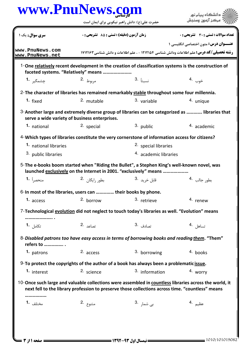|                                                              | حضرت علی(ع): دانش راهبر نیکویی برای ایمان است<br>زمان آزمون (دقيقه) : تستى : 85 - تشريحي : 0 |                                                                                                                                                                                                            | دانشگاه پیام نور<br>مركز آزمون وسنجش<br>تعداد سوالات : تستى : 30 - تشريحي : 0<br><b>عنـــوان درس:</b> متون اختصاصي انگليسي 1<br><b>رشته تحصیلی/کد درس:</b> علم اطلاعات ودانش شناسی 1212164 - ، علم اطلاعات و دانش شناسی 121216 |  |
|--------------------------------------------------------------|----------------------------------------------------------------------------------------------|------------------------------------------------------------------------------------------------------------------------------------------------------------------------------------------------------------|--------------------------------------------------------------------------------------------------------------------------------------------------------------------------------------------------------------------------------|--|
| سری سوال : یک ۱                                              |                                                                                              |                                                                                                                                                                                                            |                                                                                                                                                                                                                                |  |
| www.PnuNews.com<br>www.PnuNews.net                           |                                                                                              |                                                                                                                                                                                                            |                                                                                                                                                                                                                                |  |
|                                                              | faceted systems. "Relatively" means                                                          | 1-One relatively recent development in the creation of classification systems is the construction of                                                                                                       |                                                                                                                                                                                                                                |  |
| چشمگی <sub>ن</sub> <b>1.</b>                                 | مربوط .2                                                                                     | 3. نسبتاً                                                                                                                                                                                                  | خوب .4                                                                                                                                                                                                                         |  |
|                                                              |                                                                                              | 2- The character of libraries has remained remarkably stable throughout some four millennia.                                                                                                               |                                                                                                                                                                                                                                |  |
| 1. fixed                                                     | 2. mutable                                                                                   | 3. variable                                                                                                                                                                                                | 4. unique                                                                                                                                                                                                                      |  |
| serve a wide variety of business enterprises.                |                                                                                              | 3-Another large and extremely diverse group of libraries can be categorized as  libraries that                                                                                                             |                                                                                                                                                                                                                                |  |
| 1. national                                                  | 2. special                                                                                   | 3. public                                                                                                                                                                                                  | 4. academic                                                                                                                                                                                                                    |  |
|                                                              |                                                                                              | 4-Which types of libraries constitute the very cornerstone of information access for citizens?                                                                                                             |                                                                                                                                                                                                                                |  |
| 1. national libraries                                        |                                                                                              | 2. special libraries                                                                                                                                                                                       |                                                                                                                                                                                                                                |  |
| 3. public libraries                                          |                                                                                              | 4. academic libraries                                                                                                                                                                                      |                                                                                                                                                                                                                                |  |
| منحصراً 1.                                                   | بطور رايگان 2.                                                                               | 5-The e-books boom started when "Riding the Bullet", a Stephen King's well-known novel, was<br>launched exclusively on the Internet in 2001. "exclusively" means<br>قابل خريد <sup>.3</sup>                | بطور جالب .4                                                                                                                                                                                                                   |  |
| 6-In most of the libraries, users can  their books by phone. |                                                                                              |                                                                                                                                                                                                            |                                                                                                                                                                                                                                |  |
| 1. access                                                    | 2. borrow                                                                                    | 3. retrieve                                                                                                                                                                                                | 4. renew                                                                                                                                                                                                                       |  |
| .                                                            |                                                                                              | 7-Technological evolution did not neglect to touch today's libraries as well. "Evolution" means                                                                                                            |                                                                                                                                                                                                                                |  |
| تکامل <b>1۰</b>                                              | تصاعد .2                                                                                     | تصادف .3                                                                                                                                                                                                   | تساهل <sup>.4</sup>                                                                                                                                                                                                            |  |
| refers to                                                    |                                                                                              | 8-Disabled patrons too have easy access in terms of borrowing books and reading them. "Them"                                                                                                               |                                                                                                                                                                                                                                |  |
| 1. patrons                                                   | 2. access                                                                                    | 3. borrowing                                                                                                                                                                                               | 4. books                                                                                                                                                                                                                       |  |
|                                                              |                                                                                              | 9-To protect the copyrights of the author of a book has always been a problematic issue.                                                                                                                   |                                                                                                                                                                                                                                |  |
| 1. interest                                                  | 2. science                                                                                   | 3. information                                                                                                                                                                                             | 4. worry                                                                                                                                                                                                                       |  |
|                                                              |                                                                                              | 10-Once such large and valuable collections were assembled in countless libraries across the world, it<br>next fell to the library profession to preserve those collections across time. "countless" means |                                                                                                                                                                                                                                |  |
|                                                              |                                                                                              |                                                                                                                                                                                                            |                                                                                                                                                                                                                                |  |
| مختلف 1.                                                     | متنوع .2                                                                                     | ب <sub>ى</sub> شما <sub>ر</sub> .3                                                                                                                                                                         | عظیم ۔4                                                                                                                                                                                                                        |  |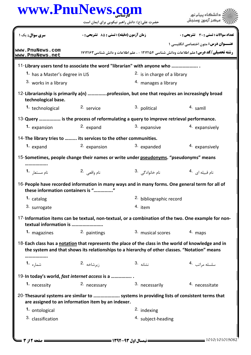## كارشناسي **[www.PnuNews.com](http://www.PnuNews.com)**

| www.PnuNews.col                                                 |                                                                                                  | حضرت علی(ع): دانش راهبر نیکویی برای ایمان است                                                                                                                                                         | دانشگاه بیام نور                            |  |
|-----------------------------------------------------------------|--------------------------------------------------------------------------------------------------|-------------------------------------------------------------------------------------------------------------------------------------------------------------------------------------------------------|---------------------------------------------|--|
| سری سوال: یک ۱                                                  | <b>زمان آزمون (دقیقه) : تستی : 85 گشریحی : 0</b><br><b>تعداد سوالات : تستی : 30 ٪ تشریحی : 0</b> |                                                                                                                                                                                                       |                                             |  |
| www.PnuNews.com<br>www.PnuNews.net                              |                                                                                                  | <b>رشته تحصیلی/کد درس:</b> علم اطلاعات ودانش شناسی 1۲۱۲۱۵۴ - ، علم اطلاعات و دانش شناسی ۱۷۱۲۱۶۳                                                                                                       | <b>عنـــوان درس:</b> متون اختصاصي انگليسي 1 |  |
|                                                                 |                                                                                                  | 11-Library users tend to associate the word "librarian" with anyone who                                                                                                                               |                                             |  |
| 1. has a Master's degree in LIS                                 |                                                                                                  | <sup>2.</sup> is in charge of a library                                                                                                                                                               |                                             |  |
| <sup>3.</sup> works in a library                                |                                                                                                  | 4. manages a library                                                                                                                                                                                  |                                             |  |
| technological base.                                             |                                                                                                  | 12-Librarianship is primarily a(n) profession, but one that requires an increasingly broad                                                                                                            |                                             |  |
| 1. technological                                                | 2. service                                                                                       | 3. political                                                                                                                                                                                          | 4. samll                                    |  |
|                                                                 |                                                                                                  | 13-Query  is the process of reformulating a query to improve retrieval performance.                                                                                                                   |                                             |  |
| 1. expansion                                                    | 2. expand                                                                                        | 3. expansive                                                                                                                                                                                          | 4. expansively                              |  |
| 14-The library tries to  its services to the other communities. |                                                                                                  |                                                                                                                                                                                                       |                                             |  |
| 1. expand                                                       | 2. expansion                                                                                     | 3. expanded                                                                                                                                                                                           | 4. expansively                              |  |
|                                                                 |                                                                                                  |                                                                                                                                                                                                       |                                             |  |
|                                                                 |                                                                                                  | 15-Sometimes, people change their names or write under pseudonyms. "pseudonyms" means                                                                                                                 |                                             |  |
| نام مستعا <sub>ر</sub> <b>1</b>                                 | نام واقعی 2.                                                                                     | نام خانوادگی . <sup>3</sup>                                                                                                                                                                           | نام قبیله ای 4.                             |  |
| these information containers is ""                              |                                                                                                  | 16-People have recorded information in many ways and in many forms. One general term for all of                                                                                                       |                                             |  |
| 1. catalog                                                      |                                                                                                  | 2. bibliographic record                                                                                                                                                                               |                                             |  |
| 3. surrogate                                                    |                                                                                                  | 4. item                                                                                                                                                                                               |                                             |  |
| textual information is                                          |                                                                                                  | 17-Information items can be textual, non-textual, or a combination of the two. One example for non-                                                                                                   |                                             |  |
| 1. magazines                                                    | 2. paintings                                                                                     | 3. musical scores                                                                                                                                                                                     | 4. maps                                     |  |
|                                                                 |                                                                                                  | 18-Each class has a notation that represents the place of the class in the world of knowledge and in<br>the system and that shows its relationships to a hierarchy of other classes. "Notation" means |                                             |  |
| شماره <b>1.</b>                                                 | زيرشاخه .2                                                                                       | 3. نشانه                                                                                                                                                                                              | سلسله مراتب 4.                              |  |
| 19-In today's world, fast internet access is a                  |                                                                                                  |                                                                                                                                                                                                       |                                             |  |
| 1. necessity                                                    | 2. necessary                                                                                     | 3. necessarily                                                                                                                                                                                        | 4. necessitate                              |  |
|                                                                 | are assigned to an information item by an indexer.                                               | 20-Thesaural systems are similar to  systems in providing lists of consistent terms that                                                                                                              |                                             |  |
| 1. ontological                                                  |                                                                                                  | <sup>2.</sup> indexing                                                                                                                                                                                |                                             |  |
| 3. classification                                               |                                                                                                  | 4. subject-heading                                                                                                                                                                                    |                                             |  |
|                                                                 |                                                                                                  |                                                                                                                                                                                                       |                                             |  |